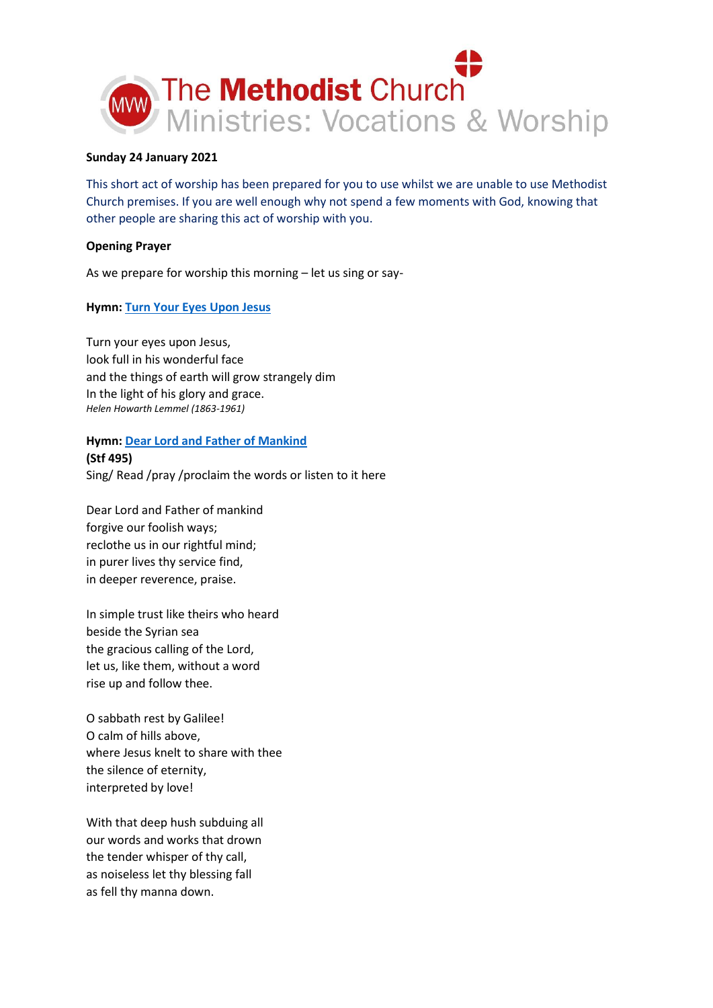

### **Sunday 24 January 2021**

This short act of worship has been prepared for you to use whilst we are unable to use Methodist Church premises. If you are well enough why not spend a few moments with God, knowing that other people are sharing this act of worship with you.

### **Opening Prayer**

As we prepare for worship this morning – let us sing or say-

# **Hymn[: Turn Your Eyes Upon Jesus](https://youtu.be/UnX1hRZi0-w)**

Turn your eyes upon Jesus, look full in his wonderful face and the things of earth will grow strangely dim In the light of his glory and grace. *Helen Howarth Lemmel (1863-1961)*

# **Hymn[: Dear Lord and Father of Mankind](https://youtu.be/WqOnjmr9Ah0) (Stf 495)**

Sing/ Read /pray /proclaim the words or listen to it here

Dear Lord and Father of mankind forgive our foolish ways; reclothe us in our rightful mind; in purer lives thy service find, in deeper reverence, praise.

In simple trust like theirs who heard beside the Syrian sea the gracious calling of the Lord, let us, like them, without a word rise up and follow thee.

O sabbath rest by Galilee! O calm of hills above, where Jesus knelt to share with thee the silence of eternity, interpreted by love!

With that deep hush subduing all our words and works that drown the tender whisper of thy call, as noiseless let thy blessing fall as fell thy manna down.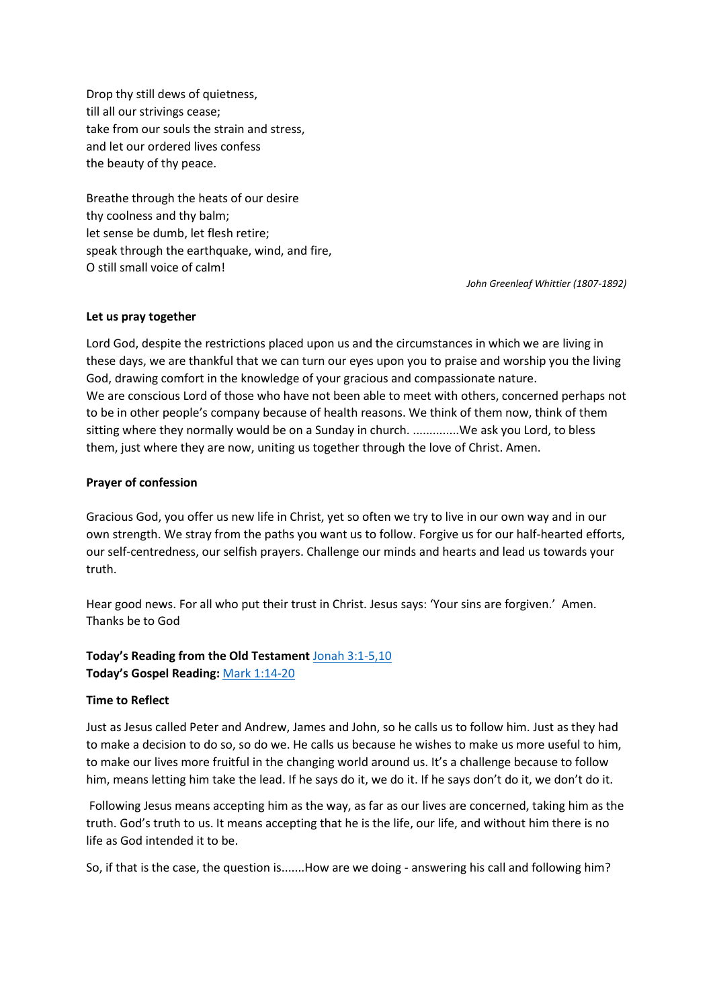Drop thy still dews of quietness, till all our strivings cease; take from our souls the strain and stress, and let our ordered lives confess the beauty of thy peace.

Breathe through the heats of our desire thy coolness and thy balm; let sense be dumb, let flesh retire; speak through the earthquake, wind, and fire, O still small voice of calm!

*John Greenleaf Whittier (1807-1892)*

#### **Let us pray together**

Lord God, despite the restrictions placed upon us and the circumstances in which we are living in these days, we are thankful that we can turn our eyes upon you to praise and worship you the living God, drawing comfort in the knowledge of your gracious and compassionate nature. We are conscious Lord of those who have not been able to meet with others, concerned perhaps not to be in other people's company because of health reasons. We think of them now, think of them sitting where they normally would be on a Sunday in church. ...............We ask you Lord, to bless them, just where they are now, uniting us together through the love of Christ. Amen.

#### **Prayer of confession**

Gracious God, you offer us new life in Christ, yet so often we try to live in our own way and in our own strength. We stray from the paths you want us to follow. Forgive us for our half-hearted efforts, our self-centredness, our selfish prayers. Challenge our minds and hearts and lead us towards your truth.

Hear good news. For all who put their trust in Christ. Jesus says: 'Your sins are forgiven.' Amen. Thanks be to God

# **Today's Reading from the Old Testament** [Jonah 3:1-5,10](https://www.biblegateway.com/passage/?search=Jonah+3%3A1-5%2C10&version=NIV) **Today's Gospel Reading:** [Mark 1:14-20](https://www.biblegateway.com/passage/?search=Mark+1%3A14-20&version=NIV)

### **Time to Reflect**

Just as Jesus called Peter and Andrew, James and John, so he calls us to follow him. Just as they had to make a decision to do so, so do we. He calls us because he wishes to make us more useful to him, to make our lives more fruitful in the changing world around us. It's a challenge because to follow him, means letting him take the lead. If he says do it, we do it. If he says don't do it, we don't do it.

Following Jesus means accepting him as the way, as far as our lives are concerned, taking him as the truth. God's truth to us. It means accepting that he is the life, our life, and without him there is no life as God intended it to be.

So, if that is the case, the question is.......How are we doing - answering his call and following him?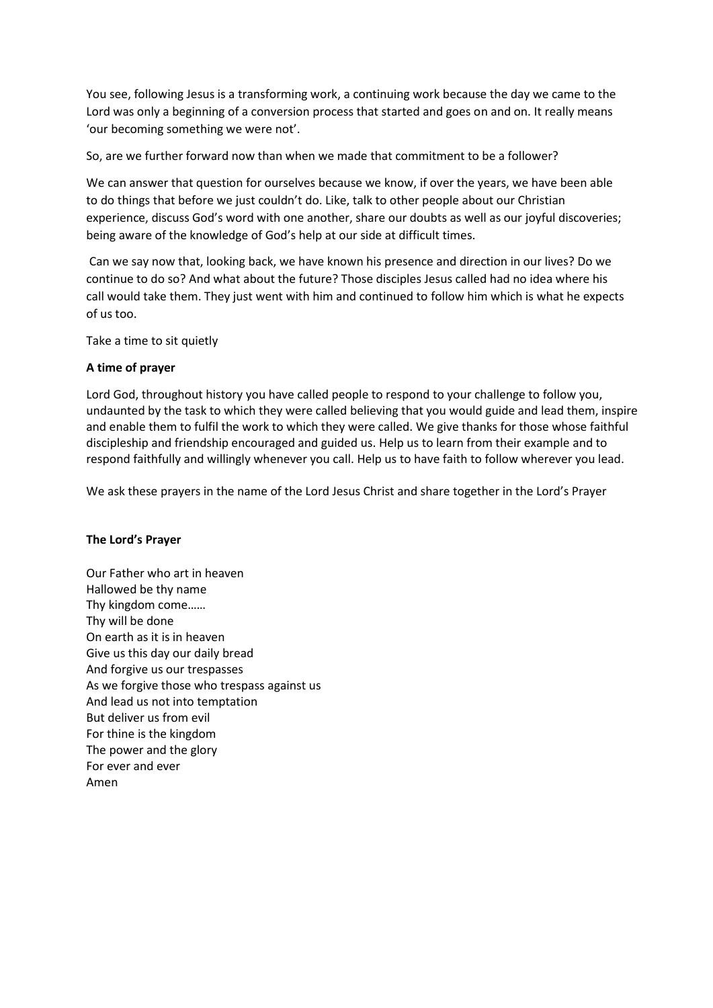You see, following Jesus is a transforming work, a continuing work because the day we came to the Lord was only a beginning of a conversion process that started and goes on and on. It really means 'our becoming something we were not'.

So, are we further forward now than when we made that commitment to be a follower?

We can answer that question for ourselves because we know, if over the years, we have been able to do things that before we just couldn't do. Like, talk to other people about our Christian experience, discuss God's word with one another, share our doubts as well as our joyful discoveries; being aware of the knowledge of God's help at our side at difficult times.

Can we say now that, looking back, we have known his presence and direction in our lives? Do we continue to do so? And what about the future? Those disciples Jesus called had no idea where his call would take them. They just went with him and continued to follow him which is what he expects of us too.

Take a time to sit quietly

# **A time of prayer**

Lord God, throughout history you have called people to respond to your challenge to follow you, undaunted by the task to which they were called believing that you would guide and lead them, inspire and enable them to fulfil the work to which they were called. We give thanks for those whose faithful discipleship and friendship encouraged and guided us. Help us to learn from their example and to respond faithfully and willingly whenever you call. Help us to have faith to follow wherever you lead.

We ask these prayers in the name of the Lord Jesus Christ and share together in the Lord's Prayer

# **The Lord's Prayer**

Our Father who art in heaven Hallowed be thy name Thy kingdom come…… Thy will be done On earth as it is in heaven Give us this day our daily bread And forgive us our trespasses As we forgive those who trespass against us And lead us not into temptation But deliver us from evil For thine is the kingdom The power and the glory For ever and ever Amen